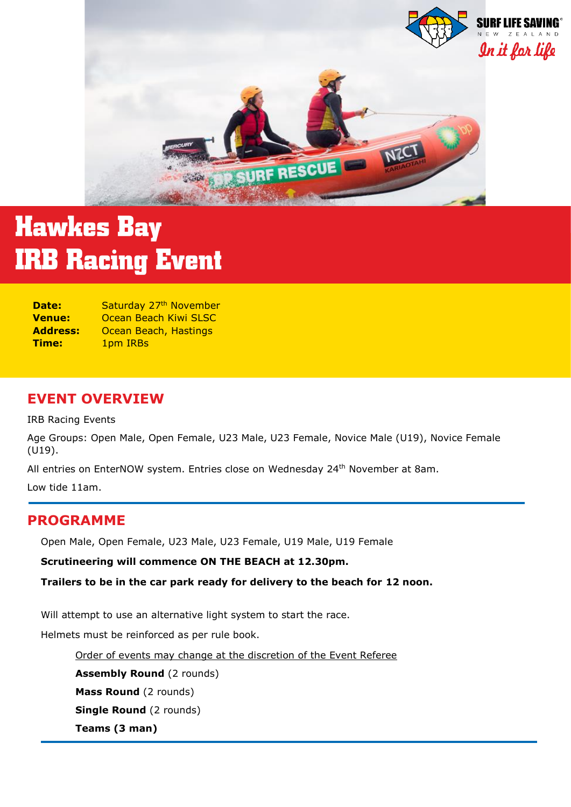

# **Hawkes Bay IRB Racing Event**

| Date:           | Saturday 27 <sup>th</sup> November |
|-----------------|------------------------------------|
| <b>Venue:</b>   | Ocean Beach Kiwi SLSC              |
| <b>Address:</b> | Ocean Beach, Hastings              |
| Time:           | 1pm IRBs                           |

## **EVENT OVERVIEW**

IRB Racing Events

Age Groups: Open Male, Open Female, U23 Male, U23 Female, Novice Male (U19), Novice Female (U19).

All entries on EnterNOW system. Entries close on Wednesday 24<sup>th</sup> November at 8am.

Low tide 11am.

## **PROGRAMME**

Open Male, Open Female, U23 Male, U23 Female, U19 Male, U19 Female

**Scrutineering will commence ON THE BEACH at 12.30pm.**

**Trailers to be in the car park ready for delivery to the beach for 12 noon.**

Will attempt to use an alternative light system to start the race.

Helmets must be reinforced as per rule book.

Order of events may change at the discretion of the Event Referee

**Assembly Round (2 rounds)** 

**Mass Round** (2 rounds)

**Single Round** (2 rounds)

**Teams (3 man)**